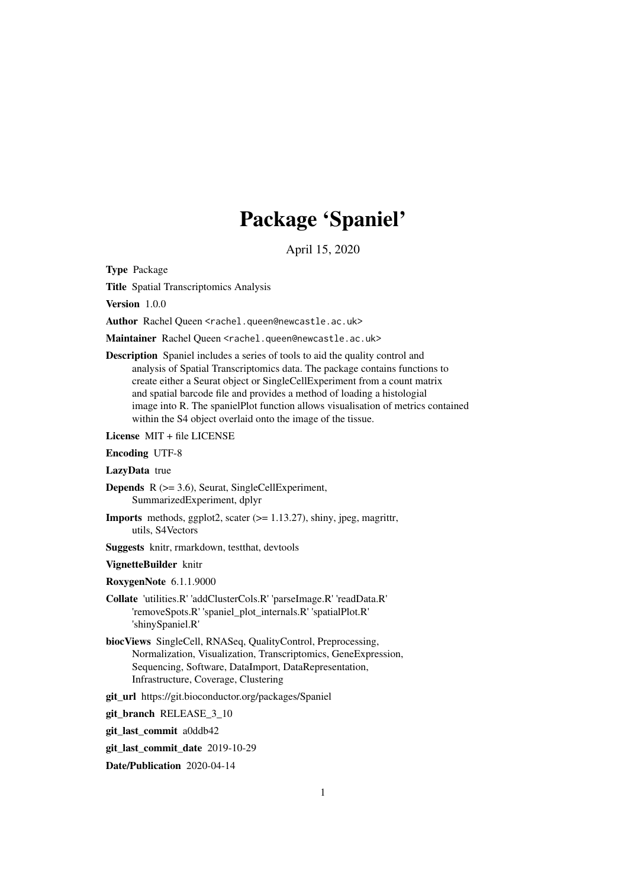## Package 'Spaniel'

April 15, 2020

Type Package

Title Spatial Transcriptomics Analysis

Version 1.0.0

Author Rachel Queen <rachel.queen@newcastle.ac.uk>

Maintainer Rachel Queen <rachel.queen@newcastle.ac.uk>

Description Spaniel includes a series of tools to aid the quality control and analysis of Spatial Transcriptomics data. The package contains functions to create either a Seurat object or SingleCellExperiment from a count matrix and spatial barcode file and provides a method of loading a histologial image into R. The spanielPlot function allows visualisation of metrics contained within the S4 object overlaid onto the image of the tissue.

License MIT + file LICENSE

#### Encoding UTF-8

LazyData true

**Depends**  $R$  ( $>= 3.6$ ), Seurat, SingleCellExperiment, SummarizedExperiment, dplyr

- Imports methods, ggplot2, scater (>= 1.13.27), shiny, jpeg, magrittr, utils, S4Vectors
- Suggests knitr, rmarkdown, testthat, devtools

#### VignetteBuilder knitr

- RoxygenNote 6.1.1.9000
- Collate 'utilities.R' 'addClusterCols.R' 'parseImage.R' 'readData.R' 'removeSpots.R' 'spaniel\_plot\_internals.R' 'spatialPlot.R' 'shinySpaniel.R'
- biocViews SingleCell, RNASeq, QualityControl, Preprocessing, Normalization, Visualization, Transcriptomics, GeneExpression, Sequencing, Software, DataImport, DataRepresentation, Infrastructure, Coverage, Clustering

git\_url https://git.bioconductor.org/packages/Spaniel

git branch RELEASE 3 10

git\_last\_commit a0ddb42

git last commit date 2019-10-29

Date/Publication 2020-04-14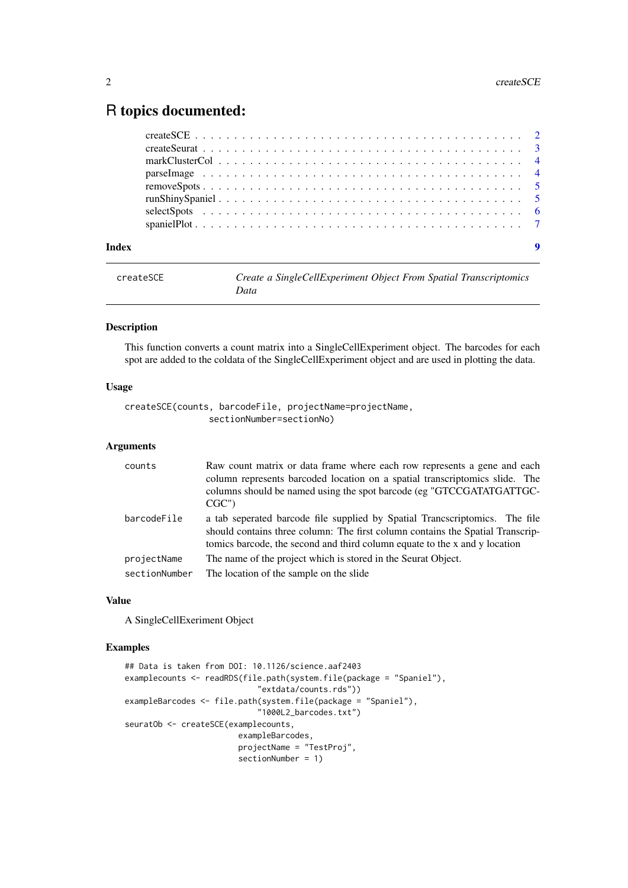### <span id="page-1-0"></span>R topics documented:

| Index | 9 |
|-------|---|

| createSCE | Create a SingleCellExperiment Object From Spatial Transcriptomics |
|-----------|-------------------------------------------------------------------|
|           | Data                                                              |

#### Description

This function converts a count matrix into a SingleCellExperiment object. The barcodes for each spot are added to the coldata of the SingleCellExperiment object and are used in plotting the data.

#### Usage

createSCE(counts, barcodeFile, projectName=projectName, sectionNumber=sectionNo)

#### Arguments

| counts        | Raw count matrix or data frame where each row represents a gene and each<br>column represents barcoded location on a spatial transcriptomics slide. The<br>columns should be named using the spot barcode (eg "GTCCGATATGATTGC-<br>CGC")    |
|---------------|---------------------------------------------------------------------------------------------------------------------------------------------------------------------------------------------------------------------------------------------|
| barcodeFile   | a tab seperated barcode file supplied by Spatial Transscriptomics. The file<br>should contains three column: The first column contains the Spatial Transcrip-<br>tomics barcode, the second and third column equate to the x and y location |
| projectName   | The name of the project which is stored in the Seurat Object.                                                                                                                                                                               |
| sectionNumber | The location of the sample on the slide                                                                                                                                                                                                     |

#### Value

A SingleCellExeriment Object

```
## Data is taken from DOI: 10.1126/science.aaf2403
examplecounts <- readRDS(file.path(system.file(package = "Spaniel"),
                            "extdata/counts.rds"))
exampleBarcodes <- file.path(system.file(package = "Spaniel"),
                            "1000L2_barcodes.txt")
seuratOb <- createSCE(examplecounts,
                        exampleBarcodes,
                        projectName = "TestProj",
                        sectionNumber = 1)
```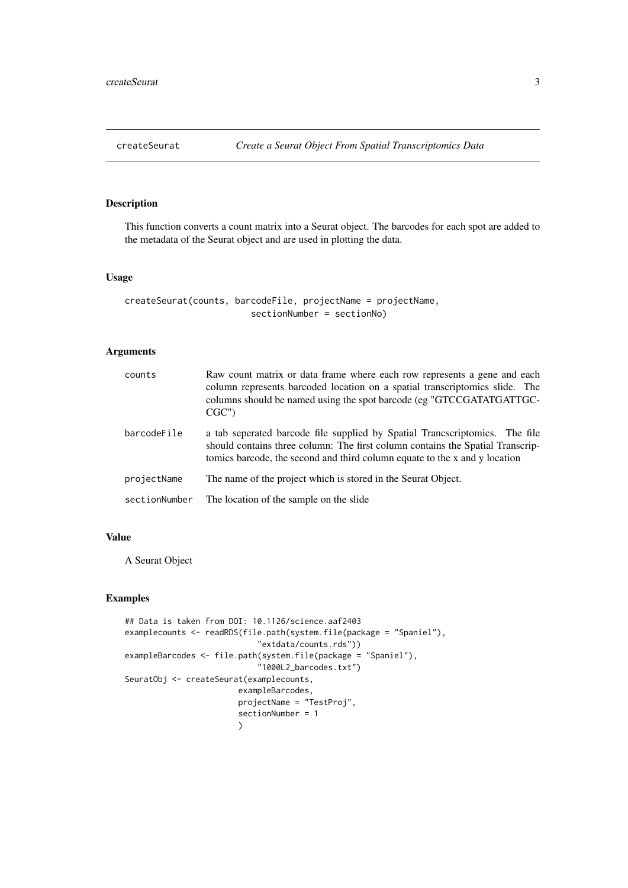<span id="page-2-0"></span>

#### Description

This function converts a count matrix into a Seurat object. The barcodes for each spot are added to the metadata of the Seurat object and are used in plotting the data.

#### Usage

```
createSeurat(counts, barcodeFile, projectName = projectName,
                        sectionNumber = sectionNo)
```
#### Arguments

| counts        | Raw count matrix or data frame where each row represents a gene and each<br>column represents barcoded location on a spatial transcriptomics slide. The<br>columns should be named using the spot barcode (eg "GTCCGATATGATTGC-<br>CGC")    |
|---------------|---------------------------------------------------------------------------------------------------------------------------------------------------------------------------------------------------------------------------------------------|
| barcodeFile   | a tab seperated barcode file supplied by Spatial Trancscriptomics. The file<br>should contains three column: The first column contains the Spatial Transcrip-<br>tomics barcode, the second and third column equate to the x and y location |
| projectName   | The name of the project which is stored in the Seurat Object.                                                                                                                                                                               |
| sectionNumber | The location of the sample on the slide                                                                                                                                                                                                     |

#### Value

A Seurat Object

```
## Data is taken from DOI: 10.1126/science.aaf2403
examplecounts <- readRDS(file.path(system.file(package = "Spaniel"),
                             "extdata/counts.rds"))
exampleBarcodes <- file.path(system.file(package = "Spaniel"),
                             "1000L2_barcodes.txt")
SeuratObj <- createSeurat(examplecounts,
                        exampleBarcodes,
                        projectName = "TestProj",
                        sectionNumber = 1
                        \lambda
```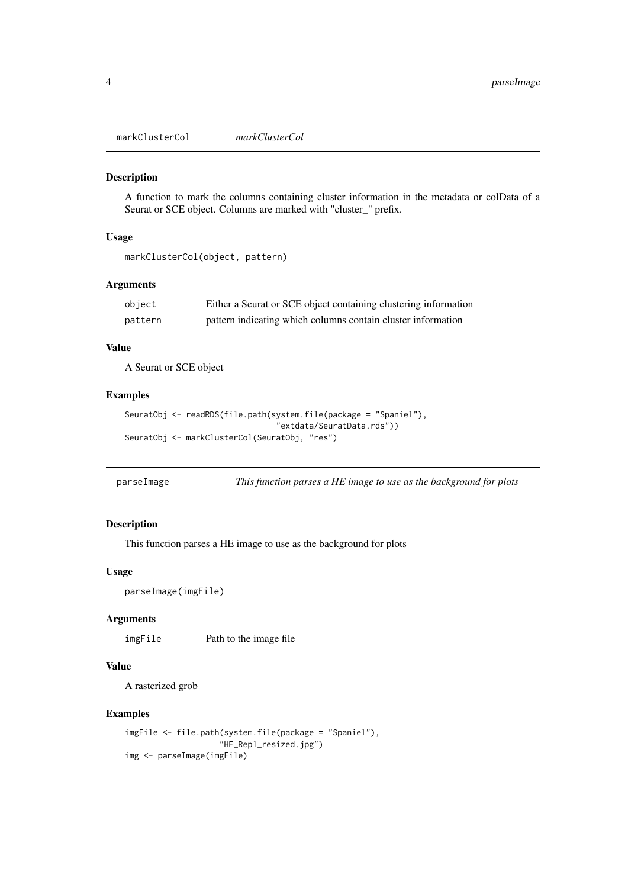<span id="page-3-0"></span>markClusterCol *markClusterCol*

#### Description

A function to mark the columns containing cluster information in the metadata or colData of a Seurat or SCE object. Columns are marked with "cluster\_" prefix.

#### Usage

```
markClusterCol(object, pattern)
```
#### Arguments

| object  | Either a Seurat or SCE object containing clustering information |
|---------|-----------------------------------------------------------------|
| pattern | pattern indicating which columns contain cluster information    |

#### Value

A Seurat or SCE object

#### Examples

```
SeuratObj <- readRDS(file.path(system.file(package = "Spaniel"),
                                "extdata/SeuratData.rds"))
SeuratObj <- markClusterCol(SeuratObj, "res")
```

| parseImage |  | This function parses a HE image to use as the background for plots |  |  |  |
|------------|--|--------------------------------------------------------------------|--|--|--|
|------------|--|--------------------------------------------------------------------|--|--|--|

#### Description

This function parses a HE image to use as the background for plots

#### Usage

```
parseImage(imgFile)
```
#### Arguments

imgFile Path to the image file

#### Value

A rasterized grob

```
imgFile <- file.path(system.file(package = "Spaniel"),
                   "HE_Rep1_resized.jpg")
img <- parseImage(imgFile)
```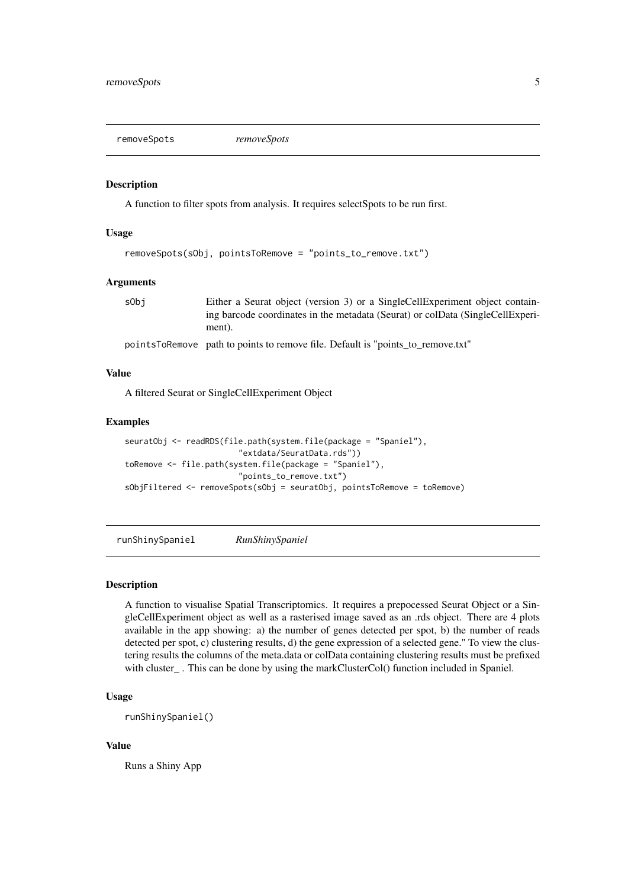<span id="page-4-0"></span>removeSpots *removeSpots*

#### Description

A function to filter spots from analysis. It requires selectSpots to be run first.

#### Usage

```
removeSpots(sObj, pointsToRemove = "points_to_remove.txt")
```
#### Arguments

| s0bi | Either a Seurat object (version 3) or a SingleCellExperiment object contain-   |
|------|--------------------------------------------------------------------------------|
|      | ing barcode coordinates in the metadata (Seurat) or colData (SingleCellExperi- |
|      | ment).                                                                         |

pointsToRemove path to points to remove file. Default is "points\_to\_remove.txt"

#### Value

A filtered Seurat or SingleCellExperiment Object

#### Examples

```
seuratObj <- readRDS(file.path(system.file(package = "Spaniel"),
                        "extdata/SeuratData.rds"))
toRemove <- file.path(system.file(package = "Spaniel"),
                        "points_to_remove.txt")
sObjFiltered <- removeSpots(sObj = seuratObj, pointsToRemove = toRemove)
```
runShinySpaniel *RunShinySpaniel*

#### Description

A function to visualise Spatial Transcriptomics. It requires a prepocessed Seurat Object or a SingleCellExperiment object as well as a rasterised image saved as an .rds object. There are 4 plots available in the app showing: a) the number of genes detected per spot, b) the number of reads detected per spot, c) clustering results, d) the gene expression of a selected gene." To view the clustering results the columns of the meta.data or colData containing clustering results must be prefixed with cluster\_. This can be done by using the markClusterCol() function included in Spaniel.

#### Usage

runShinySpaniel()

#### Value

Runs a Shiny App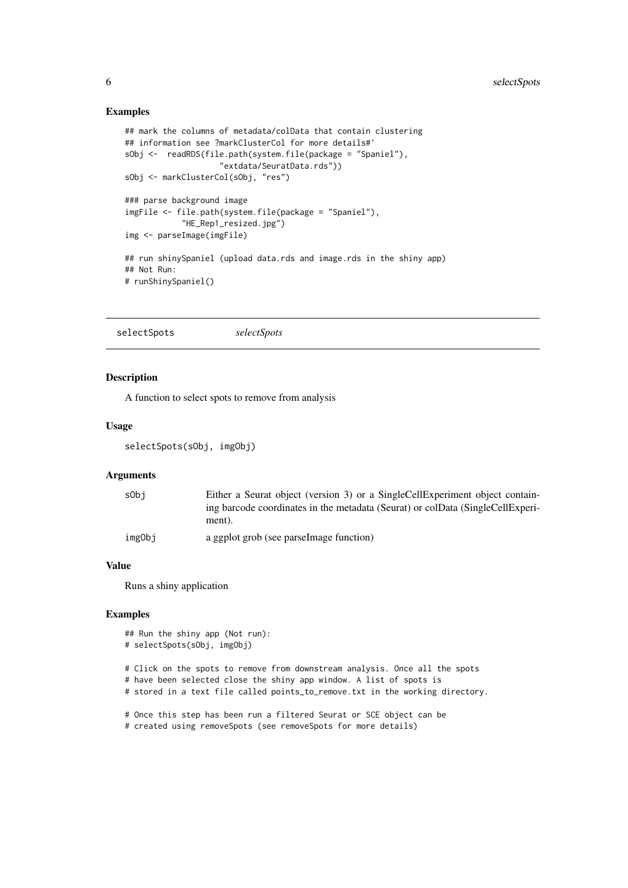#### Examples

```
## mark the columns of metadata/colData that contain clustering
## information see ?markClusterCol for more details#'
sObj <- readRDS(file.path(system.file(package = "Spaniel"),
                    "extdata/SeuratData.rds"))
sObj <- markClusterCol(sObj, "res")
### parse background image
imgFile <- file.path(system.file(package = "Spaniel"),
           "HE_Rep1_resized.jpg")
img <- parseImage(imgFile)
## run shinySpaniel (upload data.rds and image.rds in the shiny app)
## Not Run:
# runShinySpaniel()
```
selectSpots *selectSpots*

#### Description

A function to select spots to remove from analysis

#### Usage

selectSpots(sObj, imgObj)

#### Arguments

| s0bi   | Either a Seurat object (version 3) or a SingleCellExperiment object contain-   |
|--------|--------------------------------------------------------------------------------|
|        | ing barcode coordinates in the metadata (Seurat) or colData (SingleCellExperi- |
|        | ment).                                                                         |
| imgObj | a ggplot grob (see parselmage function)                                        |

#### Value

Runs a shiny application

#### Examples

```
## Run the shiny app (Not run):
# selectSpots(sObj, imgObj)
```
# Click on the spots to remove from downstream analysis. Once all the spots # have been selected close the shiny app window. A list of spots is

# stored in a text file called points\_to\_remove.txt in the working directory.

# Once this step has been run a filtered Seurat or SCE object can be # created using removeSpots (see removeSpots for more details)

<span id="page-5-0"></span>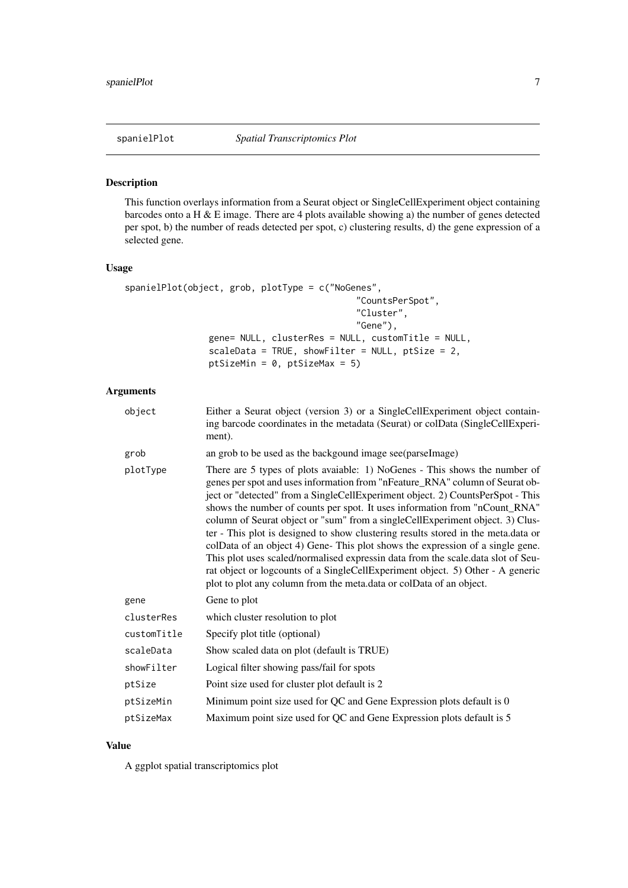#### <span id="page-6-0"></span>Description

This function overlays information from a Seurat object or SingleCellExperiment object containing barcodes onto a H & E image. There are 4 plots available showing a) the number of genes detected per spot, b) the number of reads detected per spot, c) clustering results, d) the gene expression of a selected gene.

#### Usage

```
spanielPlot(object, grob, plotType = c("NoGenes",
                                            "CountsPerSpot",
                                             "Cluster",
                                            "Gene"),
                gene= NULL, clusterRes = NULL, customTitle = NULL,
                scaleData = TRUE, showFilter = NULL, ptSize = 2,
                ptSizeMin = 0, ptSizeMax = 5)
```
#### Arguments

| object      | Either a Seurat object (version 3) or a SingleCellExperiment object contain-<br>ing barcode coordinates in the metadata (Seurat) or colData (SingleCellExperi-<br>ment).                                                                                                                                                                                                                                                                                                                                                                                                                                                                                                                                                                                                                                                       |
|-------------|--------------------------------------------------------------------------------------------------------------------------------------------------------------------------------------------------------------------------------------------------------------------------------------------------------------------------------------------------------------------------------------------------------------------------------------------------------------------------------------------------------------------------------------------------------------------------------------------------------------------------------------------------------------------------------------------------------------------------------------------------------------------------------------------------------------------------------|
| grob        | an grob to be used as the backgound image see (parsel mage)                                                                                                                                                                                                                                                                                                                                                                                                                                                                                                                                                                                                                                                                                                                                                                    |
| plotType    | There are 5 types of plots avaiable: 1) NoGenes - This shows the number of<br>genes per spot and uses information from "nFeature_RNA" column of Seurat ob-<br>ject or "detected" from a SingleCellExperiment object. 2) CountsPerSpot - This<br>shows the number of counts per spot. It uses information from "nCount_RNA"<br>column of Seurat object or "sum" from a singleCellExperiment object. 3) Clus-<br>ter - This plot is designed to show clustering results stored in the meta.data or<br>colData of an object 4) Gene-This plot shows the expression of a single gene.<br>This plot uses scaled/normalised expressin data from the scale.data slot of Seu-<br>rat object or logcounts of a SingleCellExperiment object. 5) Other - A generic<br>plot to plot any column from the meta.data or colData of an object. |
| gene        | Gene to plot                                                                                                                                                                                                                                                                                                                                                                                                                                                                                                                                                                                                                                                                                                                                                                                                                   |
| clusterRes  | which cluster resolution to plot                                                                                                                                                                                                                                                                                                                                                                                                                                                                                                                                                                                                                                                                                                                                                                                               |
| customTitle | Specify plot title (optional)                                                                                                                                                                                                                                                                                                                                                                                                                                                                                                                                                                                                                                                                                                                                                                                                  |
| scaleData   | Show scaled data on plot (default is TRUE)                                                                                                                                                                                                                                                                                                                                                                                                                                                                                                                                                                                                                                                                                                                                                                                     |
| showFilter  | Logical filter showing pass/fail for spots                                                                                                                                                                                                                                                                                                                                                                                                                                                                                                                                                                                                                                                                                                                                                                                     |
| ptSize      | Point size used for cluster plot default is 2                                                                                                                                                                                                                                                                                                                                                                                                                                                                                                                                                                                                                                                                                                                                                                                  |
| ptSizeMin   | Minimum point size used for QC and Gene Expression plots default is 0                                                                                                                                                                                                                                                                                                                                                                                                                                                                                                                                                                                                                                                                                                                                                          |
| ptSizeMax   | Maximum point size used for QC and Gene Expression plots default is 5                                                                                                                                                                                                                                                                                                                                                                                                                                                                                                                                                                                                                                                                                                                                                          |

#### Value

A ggplot spatial transcriptomics plot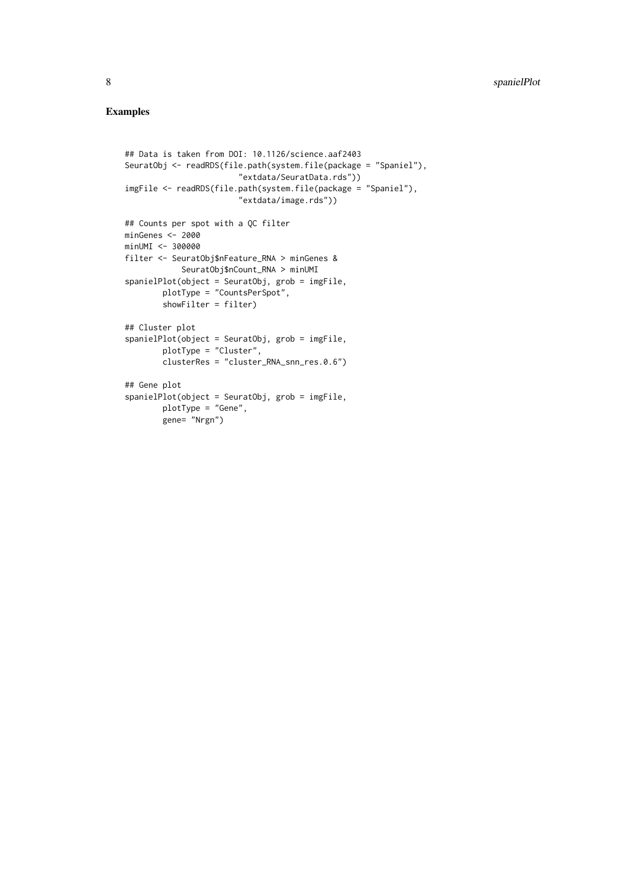```
## Data is taken from DOI: 10.1126/science.aaf2403
SeuratObj <- readRDS(file.path(system.file(package = "Spaniel"),
                        "extdata/SeuratData.rds"))
imgFile <- readRDS(file.path(system.file(package = "Spaniel"),
                        "extdata/image.rds"))
## Counts per spot with a QC filter
minGenes <- 2000
minUMI <- 300000
filter <- SeuratObj$nFeature_RNA > minGenes &
            SeuratObj$nCount_RNA > minUMI
spanielPlot(object = SeuratObj, grob = imgFile,
        plotType = "CountsPerSpot",
        showFilter = filter)
## Cluster plot
spanielPlot(object = SeuratObj, grob = imgFile,
        plotType = "Cluster",
        clusterRes = "cluster_RNA_snn_res.0.6")
## Gene plot
spanielPlot(object = SeuratObj, grob = imgFile,
        plotType = "Gene",
        gene= "Nrgn")
```